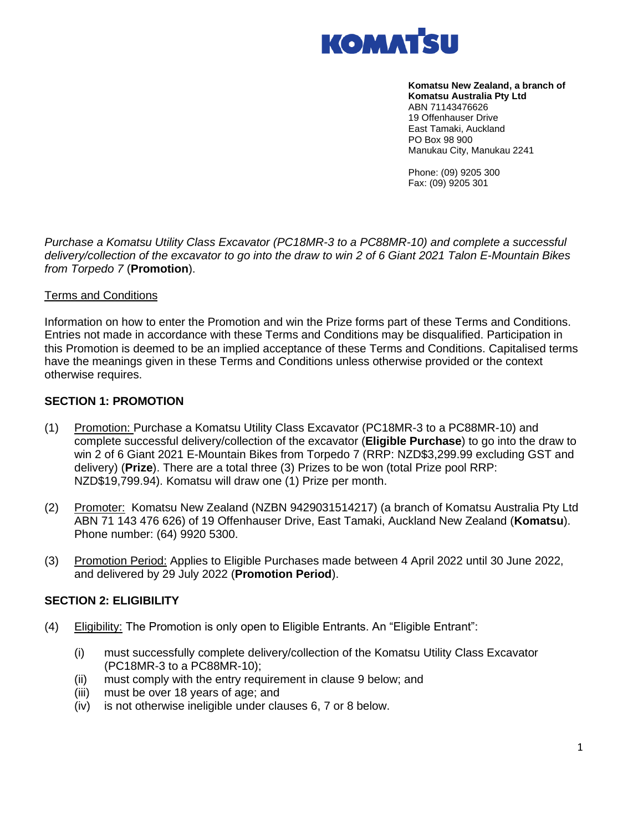

**Komatsu New Zealand, a branch of Komatsu Australia Pty Ltd** ABN 71143476626 19 Offenhauser Drive East Tamaki, Auckland PO Box 98 900 Manukau City, Manukau 2241

Phone: (09) 9205 300 Fax: (09) 9205 301

*Purchase a Komatsu Utility Class Excavator (PC18MR-3 to a PC88MR-10) and complete a successful delivery/collection of the excavator to go into the draw to win 2 of 6 Giant 2021 Talon E-Mountain Bikes from Torpedo 7* (**Promotion**).

#### Terms and Conditions

Information on how to enter the Promotion and win the Prize forms part of these Terms and Conditions. Entries not made in accordance with these Terms and Conditions may be disqualified. Participation in this Promotion is deemed to be an implied acceptance of these Terms and Conditions. Capitalised terms have the meanings given in these Terms and Conditions unless otherwise provided or the context otherwise requires.

#### **SECTION 1: PROMOTION**

- (1) Promotion: Purchase a Komatsu Utility Class Excavator (PC18MR-3 to a PC88MR-10) and complete successful delivery/collection of the excavator (**Eligible Purchase**) to go into the draw to win 2 of 6 Giant 2021 E-Mountain Bikes from Torpedo 7 (RRP: NZD\$3,299.99 excluding GST and delivery) (**Prize**). There are a total three (3) Prizes to be won (total Prize pool RRP: NZD\$19,799.94). Komatsu will draw one (1) Prize per month.
- (2) Promoter: Komatsu New Zealand (NZBN 9429031514217) (a branch of Komatsu Australia Pty Ltd ABN 71 143 476 626) of 19 Offenhauser Drive, East Tamaki, Auckland New Zealand (**Komatsu**). Phone number: (64) 9920 5300.
- (3) Promotion Period: Applies to Eligible Purchases made between 4 April 2022 until 30 June 2022, and delivered by 29 July 2022 (**Promotion Period**).

#### **SECTION 2: ELIGIBILITY**

- (4) Eligibility: The Promotion is only open to Eligible Entrants. An "Eligible Entrant":
	- (i) must successfully complete delivery/collection of the Komatsu Utility Class Excavator (PC18MR-3 to a PC88MR-10);
	- (ii) must comply with the entry requirement in clause 9 below; and
	- (iii) must be over 18 years of age; and
	- (iv) is not otherwise ineligible under clauses 6, 7 or 8 below.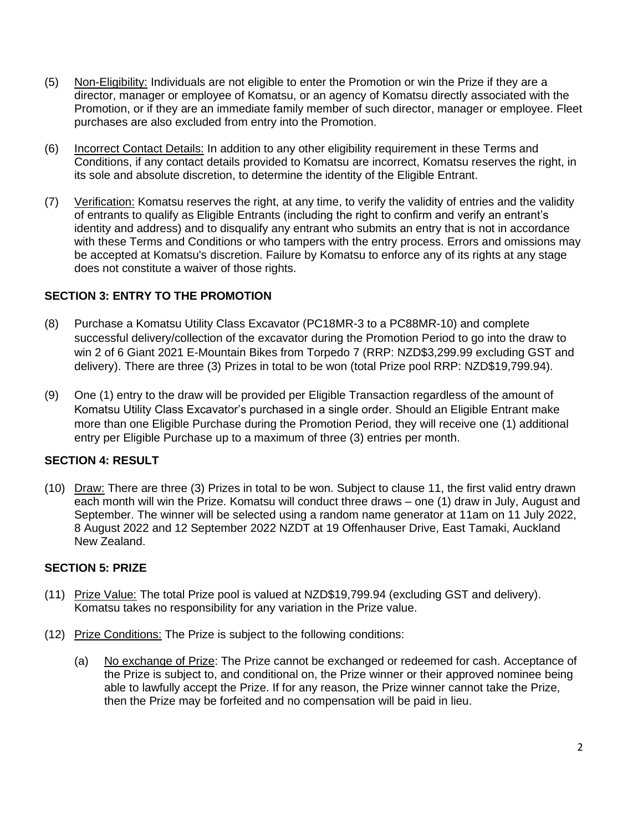- (5) Non-Eligibility: Individuals are not eligible to enter the Promotion or win the Prize if they are a director, manager or employee of Komatsu, or an agency of Komatsu directly associated with the Promotion, or if they are an immediate family member of such director, manager or employee. Fleet purchases are also excluded from entry into the Promotion.
- (6) Incorrect Contact Details: In addition to any other eligibility requirement in these Terms and Conditions, if any contact details provided to Komatsu are incorrect, Komatsu reserves the right, in its sole and absolute discretion, to determine the identity of the Eligible Entrant.
- (7) Verification: Komatsu reserves the right, at any time, to verify the validity of entries and the validity of entrants to qualify as Eligible Entrants (including the right to confirm and verify an entrant's identity and address) and to disqualify any entrant who submits an entry that is not in accordance with these Terms and Conditions or who tampers with the entry process. Errors and omissions may be accepted at Komatsu's discretion. Failure by Komatsu to enforce any of its rights at any stage does not constitute a waiver of those rights.

# **SECTION 3: ENTRY TO THE PROMOTION**

- (8) Purchase a Komatsu Utility Class Excavator (PC18MR-3 to a PC88MR-10) and complete successful delivery/collection of the excavator during the Promotion Period to go into the draw to win 2 of 6 Giant 2021 E-Mountain Bikes from Torpedo 7 (RRP: NZD\$3,299.99 excluding GST and delivery). There are three (3) Prizes in total to be won (total Prize pool RRP: NZD\$19,799.94).
- (9) One (1) entry to the draw will be provided per Eligible Transaction regardless of the amount of Komatsu Utility Class Excavator's purchased in a single order. Should an Eligible Entrant make more than one Eligible Purchase during the Promotion Period, they will receive one (1) additional entry per Eligible Purchase up to a maximum of three (3) entries per month.

## **SECTION 4: RESULT**

(10) Draw: There are three (3) Prizes in total to be won. Subject to clause 11, the first valid entry drawn each month will win the Prize. Komatsu will conduct three draws – one (1) draw in July, August and September. The winner will be selected using a random name generator at 11am on 11 July 2022, 8 August 2022 and 12 September 2022 NZDT at 19 Offenhauser Drive, East Tamaki, Auckland New Zealand.

## **SECTION 5: PRIZE**

- (11) Prize Value: The total Prize pool is valued at NZD\$19,799.94 (excluding GST and delivery). Komatsu takes no responsibility for any variation in the Prize value.
- (12) Prize Conditions: The Prize is subject to the following conditions:
	- (a) No exchange of Prize: The Prize cannot be exchanged or redeemed for cash. Acceptance of the Prize is subject to, and conditional on, the Prize winner or their approved nominee being able to lawfully accept the Prize. If for any reason, the Prize winner cannot take the Prize, then the Prize may be forfeited and no compensation will be paid in lieu.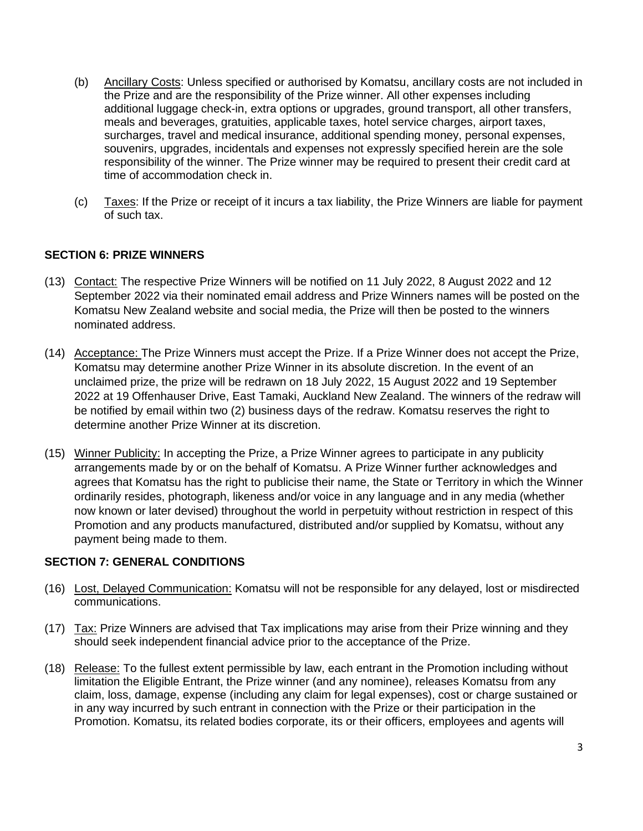- (b) Ancillary Costs: Unless specified or authorised by Komatsu, ancillary costs are not included in the Prize and are the responsibility of the Prize winner. All other expenses including additional luggage check-in, extra options or upgrades, ground transport, all other transfers, meals and beverages, gratuities, applicable taxes, hotel service charges, airport taxes, surcharges, travel and medical insurance, additional spending money, personal expenses, souvenirs, upgrades, incidentals and expenses not expressly specified herein are the sole responsibility of the winner. The Prize winner may be required to present their credit card at time of accommodation check in.
- (c) Taxes: If the Prize or receipt of it incurs a tax liability, the Prize Winners are liable for payment of such tax.

# **SECTION 6: PRIZE WINNERS**

- (13) Contact: The respective Prize Winners will be notified on 11 July 2022, 8 August 2022 and 12 September 2022 via their nominated email address and Prize Winners names will be posted on the Komatsu New Zealand website and social media, the Prize will then be posted to the winners nominated address.
- (14) Acceptance: The Prize Winners must accept the Prize. If a Prize Winner does not accept the Prize, Komatsu may determine another Prize Winner in its absolute discretion. In the event of an unclaimed prize, the prize will be redrawn on 18 July 2022, 15 August 2022 and 19 September 2022 at 19 Offenhauser Drive, East Tamaki, Auckland New Zealand. The winners of the redraw will be notified by email within two (2) business days of the redraw. Komatsu reserves the right to determine another Prize Winner at its discretion.
- (15) Winner Publicity: In accepting the Prize, a Prize Winner agrees to participate in any publicity arrangements made by or on the behalf of Komatsu. A Prize Winner further acknowledges and agrees that Komatsu has the right to publicise their name, the State or Territory in which the Winner ordinarily resides, photograph, likeness and/or voice in any language and in any media (whether now known or later devised) throughout the world in perpetuity without restriction in respect of this Promotion and any products manufactured, distributed and/or supplied by Komatsu, without any payment being made to them.

## **SECTION 7: GENERAL CONDITIONS**

- (16) Lost, Delayed Communication: Komatsu will not be responsible for any delayed, lost or misdirected communications.
- (17) Tax: Prize Winners are advised that Tax implications may arise from their Prize winning and they should seek independent financial advice prior to the acceptance of the Prize.
- (18) Release: To the fullest extent permissible by law, each entrant in the Promotion including without limitation the Eligible Entrant, the Prize winner (and any nominee), releases Komatsu from any claim, loss, damage, expense (including any claim for legal expenses), cost or charge sustained or in any way incurred by such entrant in connection with the Prize or their participation in the Promotion. Komatsu, its related bodies corporate, its or their officers, employees and agents will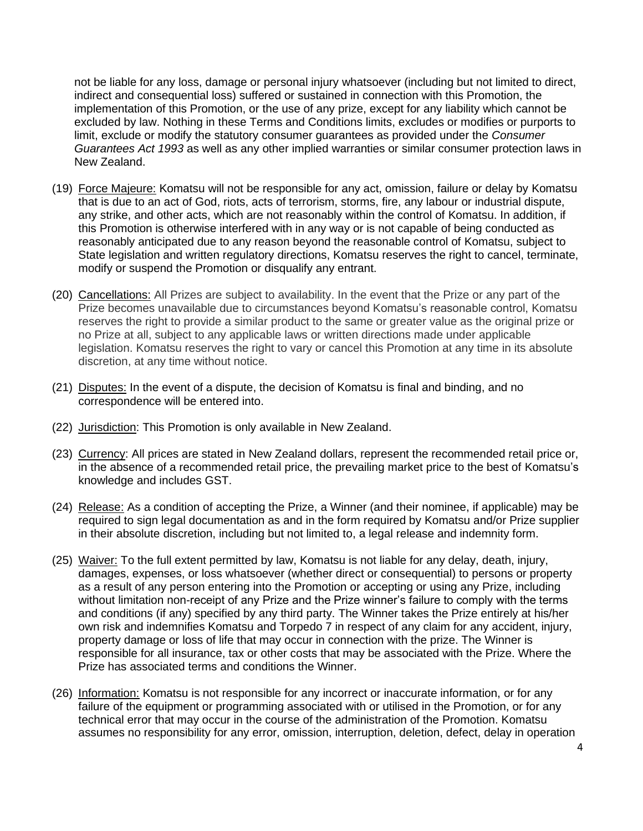not be liable for any loss, damage or personal injury whatsoever (including but not limited to direct, indirect and consequential loss) suffered or sustained in connection with this Promotion, the implementation of this Promotion, or the use of any prize, except for any liability which cannot be excluded by law. Nothing in these Terms and Conditions limits, excludes or modifies or purports to limit, exclude or modify the statutory consumer guarantees as provided under the *Consumer Guarantees Act 1993* as well as any other implied warranties or similar consumer protection laws in New Zealand.

- (19) Force Majeure: Komatsu will not be responsible for any act, omission, failure or delay by Komatsu that is due to an act of God, riots, acts of terrorism, storms, fire, any labour or industrial dispute, any strike, and other acts, which are not reasonably within the control of Komatsu. In addition, if this Promotion is otherwise interfered with in any way or is not capable of being conducted as reasonably anticipated due to any reason beyond the reasonable control of Komatsu, subject to State legislation and written regulatory directions, Komatsu reserves the right to cancel, terminate, modify or suspend the Promotion or disqualify any entrant.
- (20) Cancellations: All Prizes are subject to availability. In the event that the Prize or any part of the Prize becomes unavailable due to circumstances beyond Komatsu's reasonable control, Komatsu reserves the right to provide a similar product to the same or greater value as the original prize or no Prize at all, subject to any applicable laws or written directions made under applicable legislation. Komatsu reserves the right to vary or cancel this Promotion at any time in its absolute discretion, at any time without notice.
- (21) Disputes: In the event of a dispute, the decision of Komatsu is final and binding, and no correspondence will be entered into.
- (22) Jurisdiction: This Promotion is only available in New Zealand.
- (23) Currency: All prices are stated in New Zealand dollars, represent the recommended retail price or, in the absence of a recommended retail price, the prevailing market price to the best of Komatsu's knowledge and includes GST.
- (24) Release: As a condition of accepting the Prize, a Winner (and their nominee, if applicable) may be required to sign legal documentation as and in the form required by Komatsu and/or Prize supplier in their absolute discretion, including but not limited to, a legal release and indemnity form.
- (25) Waiver: To the full extent permitted by law, Komatsu is not liable for any delay, death, injury, damages, expenses, or loss whatsoever (whether direct or consequential) to persons or property as a result of any person entering into the Promotion or accepting or using any Prize, including without limitation non-receipt of any Prize and the Prize winner's failure to comply with the terms and conditions (if any) specified by any third party. The Winner takes the Prize entirely at his/her own risk and indemnifies Komatsu and Torpedo 7 in respect of any claim for any accident, injury, property damage or loss of life that may occur in connection with the prize. The Winner is responsible for all insurance, tax or other costs that may be associated with the Prize. Where the Prize has associated terms and conditions the Winner.
- (26) Information: Komatsu is not responsible for any incorrect or inaccurate information, or for any failure of the equipment or programming associated with or utilised in the Promotion, or for any technical error that may occur in the course of the administration of the Promotion. Komatsu assumes no responsibility for any error, omission, interruption, deletion, defect, delay in operation